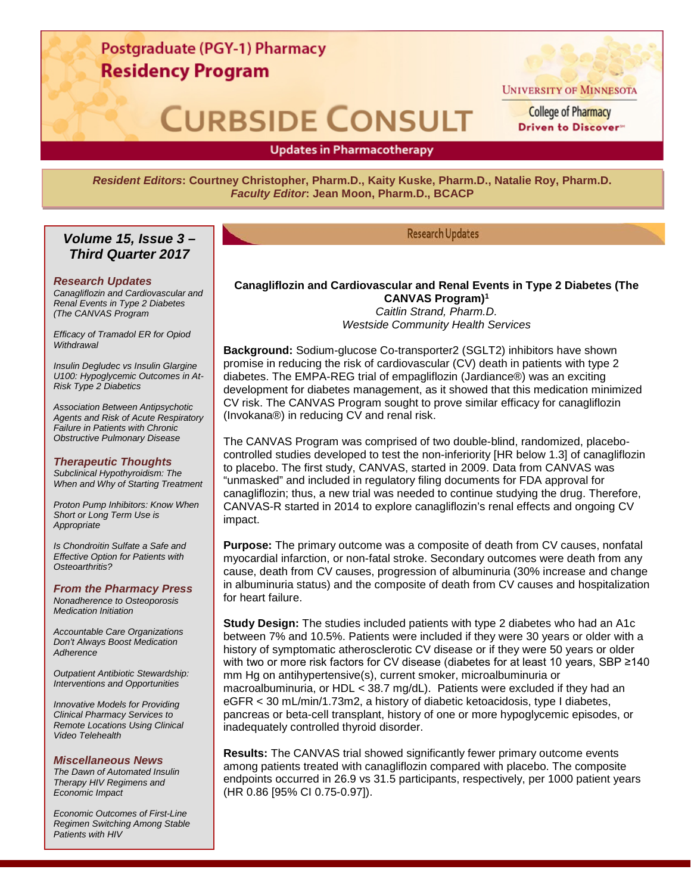# Postgraduate (PGY-1) Pharmacy **Residency Program**

# **CURBSIDE CONSULT**



**UNIVERSITY OF MINNESOTA** 

**College of Pharmacy** Driven to Discover"

# **Updates in Pharmacotherapy**

*Resident Editors***: Courtney Christopher, Pharm.D., Kaity Kuske, Pharm.D., Natalie Roy, Pharm.D.** *Faculty Editor***: Jean Moon, Pharm.D., BCACP**

# *Volume 15, Issue 3 – Third Quarter 2017*

#### *Research Updates*

*Canagliflozin and Cardiovascular and Renal Events in Type 2 Diabetes (The CANVAS Program*

*Efficacy of Tramadol ER for Opiod Withdrawal*

*Insulin Degludec vs Insulin Glargine U100: Hypoglycemic Outcomes in At-Risk Type 2 Diabetics*

*Association Between Antipsychotic Agents and Risk of Acute Respiratory Failure in Patients with Chronic Obstructive Pulmonary Disease*

#### *Therapeutic Thoughts*

*Subclinical Hypothyroidism: The When and Why of Starting Treatment*

*Proton Pump Inhibitors: Know When Short or Long Term Use is Appropriate*

*Is Chondroitin Sulfate a Safe and Effective Option for Patients with Osteoarthritis?*

*From the Pharmacy Press Nonadherence to Osteoporosis Medication Initiation*

*Accountable Care Organizations Don't Always Boost Medication Adherence*

*Outpatient Antibiotic Stewardship: Interventions and Opportunities*

*Innovative Models for Providing Clinical Pharmacy Services to Remote Locations Using Clinical Video Telehealth*

#### *Miscellaneous News*

*The Dawn of Automated Insulin Therapy HIV Regimens and Economic Impact*

*Economic Outcomes of First-Line Regimen Switching Among Stable Patients with HIV*

# **Research Updates**

### **Canagliflozin and Cardiovascular and Renal Events in Type 2 Diabetes (The CANVAS Program)1**

*Caitlin Strand, Pharm.D. Westside Community Health Services*

**Background:** Sodium-glucose Co-transporter2 (SGLT2) inhibitors have shown promise in reducing the risk of cardiovascular (CV) death in patients with type 2 diabetes. The EMPA-REG trial of empagliflozin (Jardiance®) was an exciting development for diabetes management, as it showed that this medication minimized CV risk. The CANVAS Program sought to prove similar efficacy for canagliflozin (Invokana®) in reducing CV and renal risk.

The CANVAS Program was comprised of two double-blind, randomized, placebocontrolled studies developed to test the non-inferiority [HR below 1.3] of canagliflozin to placebo. The first study, CANVAS, started in 2009. Data from CANVAS was "unmasked" and included in regulatory filing documents for FDA approval for canagliflozin; thus, a new trial was needed to continue studying the drug. Therefore, CANVAS-R started in 2014 to explore canagliflozin's renal effects and ongoing CV impact.

**Purpose:** The primary outcome was a composite of death from CV causes, nonfatal myocardial infarction, or non-fatal stroke. Secondary outcomes were death from any cause, death from CV causes, progression of albuminuria (30% increase and change in albuminuria status) and the composite of death from CV causes and hospitalization for heart failure.

**Study Design:** The studies included patients with type 2 diabetes who had an A1c between 7% and 10.5%. Patients were included if they were 30 years or older with a history of symptomatic atherosclerotic CV disease or if they were 50 years or older with two or more risk factors for CV disease (diabetes for at least 10 years, SBP ≥140 mm Hg on antihypertensive(s), current smoker, microalbuminuria or macroalbuminuria, or HDL < 38.7 mg/dL). Patients were excluded if they had an eGFR < 30 mL/min/1.73m2, a history of diabetic ketoacidosis, type I diabetes, pancreas or beta-cell transplant, history of one or more hypoglycemic episodes, or inadequately controlled thyroid disorder.

**Results:** The CANVAS trial showed significantly fewer primary outcome events among patients treated with canagliflozin compared with placebo. The composite endpoints occurred in 26.9 vs 31.5 participants, respectively, per 1000 patient years (HR 0.86 [95% CI 0.75-0.97]).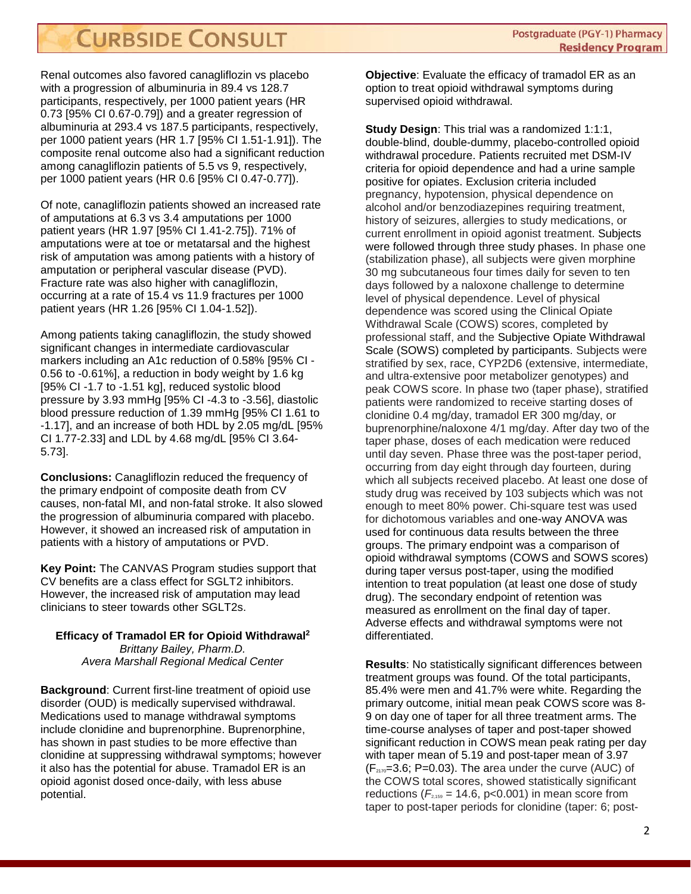Renal outcomes also favored canagliflozin vs placebo with a progression of albuminuria in 89.4 vs 128.7 participants, respectively, per 1000 patient years (HR 0.73 [95% CI 0.67-0.79]) and a greater regression of albuminuria at 293.4 vs 187.5 participants, respectively, per 1000 patient years (HR 1.7 [95% CI 1.51-1.91]). The composite renal outcome also had a significant reduction among canagliflozin patients of 5.5 vs 9, respectively, per 1000 patient years (HR 0.6 [95% CI 0.47-0.77]).

Of note, canagliflozin patients showed an increased rate of amputations at 6.3 vs 3.4 amputations per 1000 patient years (HR 1.97 [95% CI 1.41-2.75]). 71% of amputations were at toe or metatarsal and the highest risk of amputation was among patients with a history of amputation or peripheral vascular disease (PVD). Fracture rate was also higher with canagliflozin, occurring at a rate of 15.4 vs 11.9 fractures per 1000 patient years (HR 1.26 [95% CI 1.04-1.52]).

Among patients taking canagliflozin, the study showed significant changes in intermediate cardiovascular markers including an A1c reduction of 0.58% [95% CI - 0.56 to -0.61%], a reduction in body weight by 1.6 kg [95% CI -1.7 to -1.51 kg], reduced systolic blood pressure by 3.93 mmHg [95% CI -4.3 to -3.56], diastolic blood pressure reduction of 1.39 mmHg [95% CI 1.61 to -1.17], and an increase of both HDL by 2.05 mg/dL [95% CI 1.77-2.33] and LDL by 4.68 mg/dL [95% CI 3.64- 5.73].

**Conclusions:** Canagliflozin reduced the frequency of the primary endpoint of composite death from CV causes, non-fatal MI, and non-fatal stroke. It also slowed the progression of albuminuria compared with placebo. However, it showed an increased risk of amputation in patients with a history of amputations or PVD.

**Key Point:** The CANVAS Program studies support that CV benefits are a class effect for SGLT2 inhibitors. However, the increased risk of amputation may lead clinicians to steer towards other SGLT2s.

### **Efficacy of Tramadol ER for Opioid Withdrawal2** *Brittany Bailey, Pharm.D. Avera Marshall Regional Medical Center*

**Background**: Current first-line treatment of opioid use disorder (OUD) is medically supervised withdrawal. Medications used to manage withdrawal symptoms include clonidine and buprenorphine. Buprenorphine, has shown in past studies to be more effective than clonidine at suppressing withdrawal symptoms; however it also has the potential for abuse. Tramadol ER is an opioid agonist dosed once-daily, with less abuse potential.

**Objective**: Evaluate the efficacy of tramadol ER as an option to treat opioid withdrawal symptoms during supervised opioid withdrawal.

**Study Design**: This trial was a randomized 1:1:1, double-blind, double-dummy, placebo-controlled opioid withdrawal procedure. Patients recruited met DSM-IV criteria for opioid dependence and had a urine sample positive for opiates. Exclusion criteria included pregnancy, hypotension, physical dependence on alcohol and/or benzodiazepines requiring treatment, history of seizures, allergies to study medications, or current enrollment in opioid agonist treatment. Subjects were followed through three study phases. In phase one (stabilization phase), all subjects were given morphine 30 mg subcutaneous four times daily for seven to ten days followed by a naloxone challenge to determine level of physical dependence. Level of physical dependence was scored using the Clinical Opiate Withdrawal Scale (COWS) scores, completed by professional staff, and the Subjective Opiate Withdrawal Scale (SOWS) completed by participants. Subjects were stratified by sex, race, CYP2D6 (extensive, intermediate, and ultra-extensive poor metabolizer genotypes) and peak COWS score. In phase two (taper phase), stratified patients were randomized to receive starting doses of clonidine 0.4 mg/day, tramadol ER 300 mg/day, or buprenorphine/naloxone 4/1 mg/day. After day two of the taper phase, doses of each medication were reduced until day seven. Phase three was the post-taper period, occurring from day eight through day fourteen, during which all subjects received placebo. At least one dose of study drug was received by 103 subjects which was not enough to meet 80% power. Chi-square test was used for dichotomous variables and one-way ANOVA was used for continuous data results between the three groups. The primary endpoint was a comparison of opioid withdrawal symptoms (COWS and SOWS scores) during taper versus post-taper, using the modified intention to treat population (at least one dose of study drug). The secondary endpoint of retention was measured as enrollment on the final day of taper. Adverse effects and withdrawal symptoms were not differentiated.

**Results**: No statistically significant differences between treatment groups was found. Of the total participants, 85.4% were men and 41.7% were white. Regarding the primary outcome, initial mean peak COWS score was 8- 9 on day one of taper for all three treatment arms. The time-course analyses of taper and post-taper showed significant reduction in COWS mean peak rating per day with taper mean of 5.19 and post-taper mean of 3.97  $(F_{2170}=3.6; P=0.03)$ . The area under the curve (AUC) of the COWS total scores, showed statistically significant reductions ( $F_{2,159}$  = 14.6, p<0.001) in mean score from taper to post-taper periods for clonidine (taper: 6; post-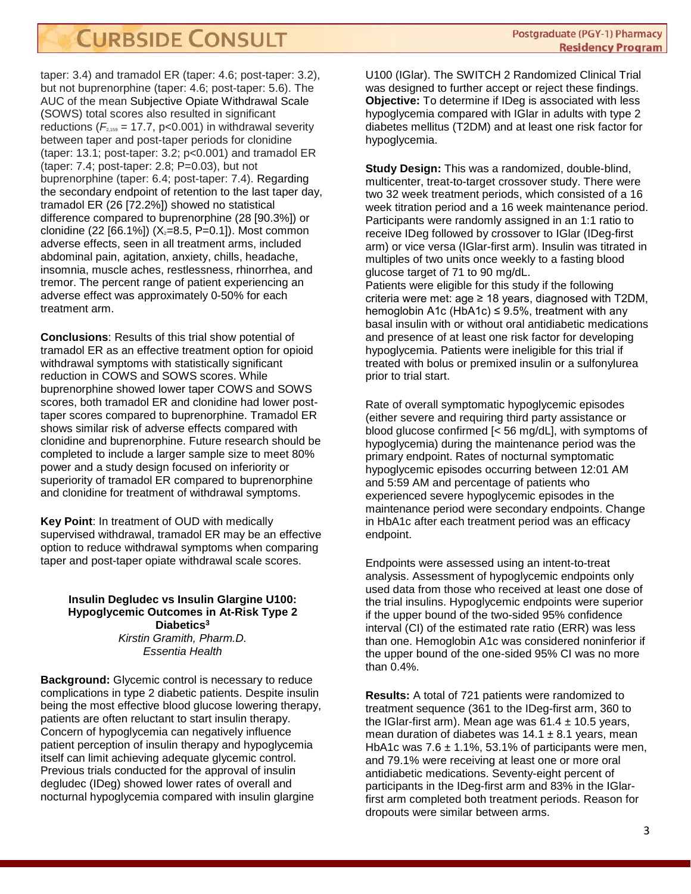taper: 3.4) and tramadol ER (taper: 4.6; post-taper: 3.2), but not buprenorphine (taper: 4.6; post-taper: 5.6). The AUC of the mean Subjective Opiate Withdrawal Scale (SOWS) total scores also resulted in significant reductions ( $F_{2,159}$  = 17.7, p<0.001) in withdrawal severity between taper and post-taper periods for clonidine (taper: 13.1; post-taper: 3.2; p<0.001) and tramadol ER (taper: 7.4; post-taper: 2.8; P=0.03), but not buprenorphine (taper: 6.4; post-taper: 7.4). Regarding the secondary endpoint of retention to the last taper day, tramadol ER (26 [72.2%]) showed no statistical difference compared to buprenorphine (28 [90.3%]) or clonidine (22 [66.1%]) ( $X_2$ =8.5, P=0.1]). Most common adverse effects, seen in all treatment arms, included abdominal pain, agitation, anxiety, chills, headache, insomnia, muscle aches, restlessness, rhinorrhea, and tremor. The percent range of patient experiencing an adverse effect was approximately 0-50% for each treatment arm.

**Conclusions**: Results of this trial show potential of tramadol ER as an effective treatment option for opioid withdrawal symptoms with statistically significant reduction in COWS and SOWS scores. While buprenorphine showed lower taper COWS and SOWS scores, both tramadol ER and clonidine had lower posttaper scores compared to buprenorphine. Tramadol ER shows similar risk of adverse effects compared with clonidine and buprenorphine. Future research should be completed to include a larger sample size to meet 80% power and a study design focused on inferiority or superiority of tramadol ER compared to buprenorphine and clonidine for treatment of withdrawal symptoms.

**Key Point**: In treatment of OUD with medically supervised withdrawal, tramadol ER may be an effective option to reduce withdrawal symptoms when comparing taper and post-taper opiate withdrawal scale scores.

### **Insulin Degludec vs Insulin Glargine U100: Hypoglycemic Outcomes in At-Risk Type 2 Diabetics3** *Kirstin Gramith, Pharm.D. Essentia Health*

**Background:** Glycemic control is necessary to reduce complications in type 2 diabetic patients. Despite insulin being the most effective blood glucose lowering therapy, patients are often reluctant to start insulin therapy. Concern of hypoglycemia can negatively influence patient perception of insulin therapy and hypoglycemia itself can limit achieving adequate glycemic control. Previous trials conducted for the approval of insulin degludec (IDeg) showed lower rates of overall and nocturnal hypoglycemia compared with insulin glargine

U100 (IGlar). The SWITCH 2 Randomized Clinical Trial was designed to further accept or reject these findings. **Objective:** To determine if IDeg is associated with less hypoglycemia compared with IGlar in adults with type 2 diabetes mellitus (T2DM) and at least one risk factor for hypoglycemia.

**Study Design:** This was a randomized, double-blind, multicenter, treat-to-target crossover study. There were two 32 week treatment periods, which consisted of a 16 week titration period and a 16 week maintenance period. Participants were randomly assigned in an 1:1 ratio to receive IDeg followed by crossover to IGlar (IDeg-first arm) or vice versa (IGlar-first arm). Insulin was titrated in multiples of two units once weekly to a fasting blood glucose target of 71 to 90 mg/dL.

Patients were eligible for this study if the following criteria were met: age  $\geq$  18 years, diagnosed with T2DM, hemoglobin A1c (HbA1c)  $\leq$  9.5%, treatment with any basal insulin with or without oral antidiabetic medications and presence of at least one risk factor for developing hypoglycemia. Patients were ineligible for this trial if treated with bolus or premixed insulin or a sulfonylurea prior to trial start.

Rate of overall symptomatic hypoglycemic episodes (either severe and requiring third party assistance or blood glucose confirmed [< 56 mg/dL], with symptoms of hypoglycemia) during the maintenance period was the primary endpoint. Rates of nocturnal symptomatic hypoglycemic episodes occurring between 12:01 AM and 5:59 AM and percentage of patients who experienced severe hypoglycemic episodes in the maintenance period were secondary endpoints. Change in HbA1c after each treatment period was an efficacy endpoint.

Endpoints were assessed using an intent-to-treat analysis. Assessment of hypoglycemic endpoints only used data from those who received at least one dose of the trial insulins. Hypoglycemic endpoints were superior if the upper bound of the two-sided 95% confidence interval (CI) of the estimated rate ratio (ERR) was less than one. Hemoglobin A1c was considered noninferior if the upper bound of the one-sided 95% CI was no more than 0.4%.

**Results:** A total of 721 patients were randomized to treatment sequence (361 to the IDeg-first arm, 360 to the IGlar-first arm). Mean age was  $61.4 \pm 10.5$  years, mean duration of diabetes was  $14.1 \pm 8.1$  years, mean HbA1c was  $7.6 \pm 1.1\%$ , 53.1% of participants were men, and 79.1% were receiving at least one or more oral antidiabetic medications. Seventy-eight percent of participants in the IDeg-first arm and 83% in the IGlarfirst arm completed both treatment periods. Reason for dropouts were similar between arms.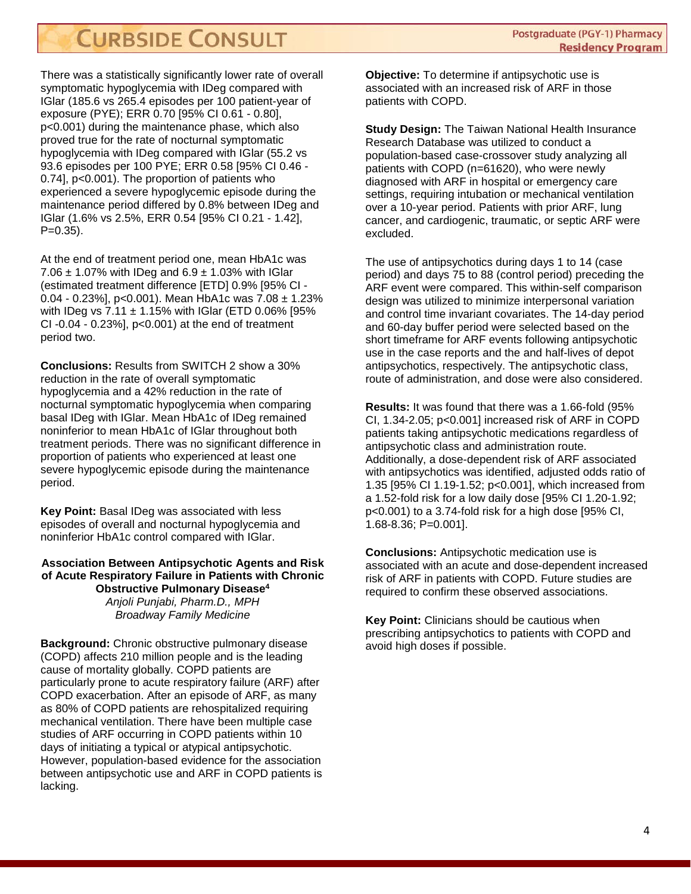There was a statistically significantly lower rate of overall symptomatic hypoglycemia with IDeg compared with IGlar (185.6 vs 265.4 episodes per 100 patient-year of exposure (PYE); ERR 0.70 [95% CI 0.61 - 0.80], p<0.001) during the maintenance phase, which also proved true for the rate of nocturnal symptomatic hypoglycemia with IDeg compared with IGlar (55.2 vs 93.6 episodes per 100 PYE; ERR 0.58 [95% CI 0.46 - 0.74], p<0.001). The proportion of patients who experienced a severe hypoglycemic episode during the maintenance period differed by 0.8% between IDeg and IGlar (1.6% vs 2.5%, ERR 0.54 [95% CI 0.21 - 1.42],  $P=0.35$ ).

At the end of treatment period one, mean HbA1c was 7.06  $\pm$  1.07% with IDeg and 6.9  $\pm$  1.03% with IGIar (estimated treatment difference [ETD] 0.9% [95% CI - 0.04 - 0.23%], p<0.001). Mean HbA1c was 7.08 ± 1.23% with IDeg vs  $7.11 \pm 1.15\%$  with IGIar (ETD 0.06% [95% CI -0.04 - 0.23%], p<0.001) at the end of treatment period two.

**Conclusions:** Results from SWITCH 2 show a 30% reduction in the rate of overall symptomatic hypoglycemia and a 42% reduction in the rate of nocturnal symptomatic hypoglycemia when comparing basal IDeg with IGlar. Mean HbA1c of IDeg remained noninferior to mean HbA1c of IGlar throughout both treatment periods. There was no significant difference in proportion of patients who experienced at least one severe hypoglycemic episode during the maintenance period.

**Key Point:** Basal IDeg was associated with less episodes of overall and nocturnal hypoglycemia and noninferior HbA1c control compared with IGlar.

### **Association Between Antipsychotic Agents and Risk of Acute Respiratory Failure in Patients with Chronic Obstructive Pulmonary Disease4** *Anjoli Punjabi, Pharm.D., MPH Broadway Family Medicine*

**Background:** Chronic obstructive pulmonary disease (COPD) affects 210 million people and is the leading cause of mortality globally. COPD patients are particularly prone to acute respiratory failure (ARF) after COPD exacerbation. After an episode of ARF, as many as 80% of COPD patients are rehospitalized requiring mechanical ventilation. There have been multiple case studies of ARF occurring in COPD patients within 10 days of initiating a typical or atypical antipsychotic. However, population-based evidence for the association between antipsychotic use and ARF in COPD patients is lacking.

**Objective:** To determine if antipsychotic use is associated with an increased risk of ARF in those patients with COPD.

**Study Design:** The Taiwan National Health Insurance Research Database was utilized to conduct a population-based case-crossover study analyzing all patients with COPD (n=61620), who were newly diagnosed with ARF in hospital or emergency care settings, requiring intubation or mechanical ventilation over a 10-year period. Patients with prior ARF, lung cancer, and cardiogenic, traumatic, or septic ARF were excluded.

The use of antipsychotics during days 1 to 14 (case period) and days 75 to 88 (control period) preceding the ARF event were compared. This within-self comparison design was utilized to minimize interpersonal variation and control time invariant covariates. The 14-day period and 60-day buffer period were selected based on the short timeframe for ARF events following antipsychotic use in the case reports and the and half-lives of depot antipsychotics, respectively. The antipsychotic class, route of administration, and dose were also considered.

**Results:** It was found that there was a 1.66-fold (95% CI, 1.34-2.05; p<0.001] increased risk of ARF in COPD patients taking antipsychotic medications regardless of antipsychotic class and administration route. Additionally, a dose-dependent risk of ARF associated with antipsychotics was identified, adjusted odds ratio of 1.35 [95% CI 1.19-1.52; p<0.001], which increased from a 1.52-fold risk for a low daily dose [95% CI 1.20-1.92; p<0.001) to a 3.74-fold risk for a high dose [95% CI, 1.68-8.36; P=0.001].

**Conclusions:** Antipsychotic medication use is associated with an acute and dose-dependent increased risk of ARF in patients with COPD. Future studies are required to confirm these observed associations.

**Key Point:** Clinicians should be cautious when prescribing antipsychotics to patients with COPD and avoid high doses if possible.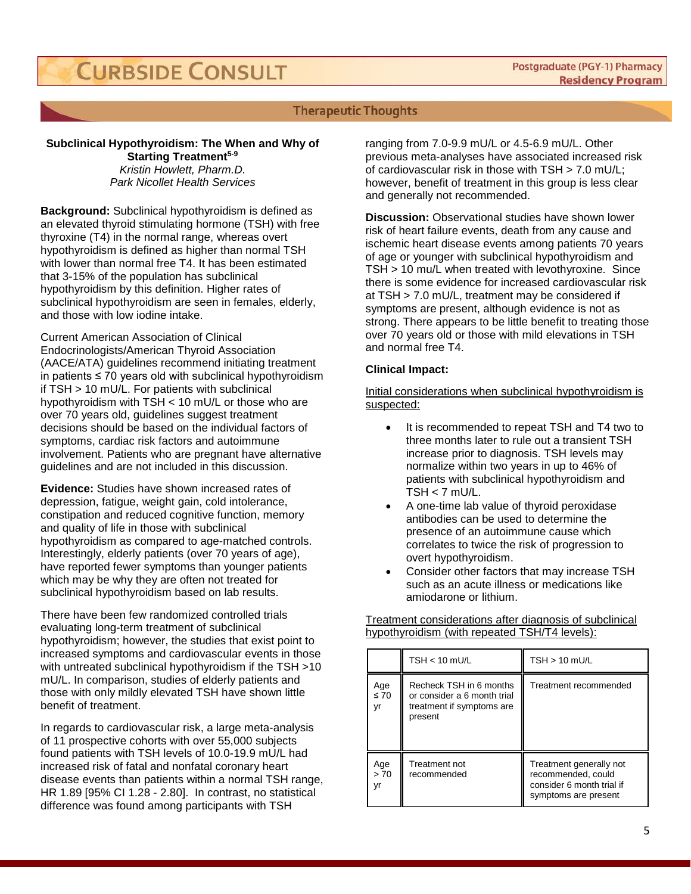# **Therapeutic Thoughts**

# **Subclinical Hypothyroidism: The When and Why of**

**Starting Treatment<sup>5-9</sup>** *Kristin Howlett, Pharm.D. Park Nicollet Health Services*

**Background:** Subclinical hypothyroidism is defined as an elevated thyroid stimulating hormone (TSH) with free thyroxine (T4) in the normal range, whereas overt hypothyroidism is defined as higher than normal TSH with lower than normal free T4. It has been estimated that 3-15% of the population has subclinical hypothyroidism by this definition. Higher rates of subclinical hypothyroidism are seen in females, elderly, and those with low iodine intake.

Current American Association of Clinical Endocrinologists/American Thyroid Association (AACE/ATA) guidelines recommend initiating treatment in patients ≤ 70 years old with subclinical hypothyroidism if TSH > 10 mU/L. For patients with subclinical hypothyroidism with TSH < 10 mU/L or those who are over 70 years old, guidelines suggest treatment decisions should be based on the individual factors of symptoms, cardiac risk factors and autoimmune involvement. Patients who are pregnant have alternative guidelines and are not included in this discussion.

**Evidence:** Studies have shown increased rates of depression, fatigue, weight gain, cold intolerance, constipation and reduced cognitive function, memory and quality of life in those with subclinical hypothyroidism as compared to age-matched controls. Interestingly, elderly patients (over 70 years of age), have reported fewer symptoms than younger patients which may be why they are often not treated for subclinical hypothyroidism based on lab results.

There have been few randomized controlled trials evaluating long-term treatment of subclinical hypothyroidism; however, the studies that exist point to increased symptoms and cardiovascular events in those with untreated subclinical hypothyroidism if the TSH >10 mU/L. In comparison, studies of elderly patients and those with only mildly elevated TSH have shown little benefit of treatment.

In regards to cardiovascular risk, a large meta-analysis of 11 prospective cohorts with over 55,000 subjects found patients with TSH levels of 10.0-19.9 mU/L had increased risk of fatal and nonfatal coronary heart disease events than patients within a normal TSH range, HR 1.89 [95% CI 1.28 - 2.80]. In contrast, no statistical difference was found among participants with TSH

ranging from 7.0-9.9 mU/L or 4.5-6.9 mU/L. Other previous meta-analyses have associated increased risk of cardiovascular risk in those with TSH > 7.0 mU/L; however, benefit of treatment in this group is less clear and generally not recommended.

**Discussion:** Observational studies have shown lower risk of heart failure events, death from any cause and ischemic heart disease events among patients 70 years of age or younger with subclinical hypothyroidism and TSH > 10 mu/L when treated with levothyroxine. Since there is some evidence for increased cardiovascular risk at TSH > 7.0 mU/L, treatment may be considered if symptoms are present, although evidence is not as strong. There appears to be little benefit to treating those over 70 years old or those with mild elevations in TSH and normal free T4.

### **Clinical Impact:**

Initial considerations when subclinical hypothyroidism is suspected:

- It is recommended to repeat TSH and T4 two to three months later to rule out a transient TSH increase prior to diagnosis. TSH levels may normalize within two years in up to 46% of patients with subclinical hypothyroidism and  $TSH < 7$  mU/L.
- A one-time lab value of thyroid peroxidase antibodies can be used to determine the presence of an autoimmune cause which correlates to twice the risk of progression to overt hypothyroidism.
- Consider other factors that may increase TSH such as an acute illness or medications like amiodarone or lithium.

Treatment considerations after diagnosis of subclinical hypothyroidism (with repeated TSH/T4 levels):

|                        | $TSH < 10$ mU/L                                                                                | $TSH > 10$ mU/L                                                                                    |
|------------------------|------------------------------------------------------------------------------------------------|----------------------------------------------------------------------------------------------------|
| Age<br>$\leq 70$<br>۷r | Recheck TSH in 6 months<br>or consider a 6 month trial<br>treatment if symptoms are<br>present | Treatment recommended                                                                              |
| Age<br>>70<br>vr       | Treatment not<br>recommended                                                                   | Treatment generally not<br>recommended, could<br>consider 6 month trial if<br>symptoms are present |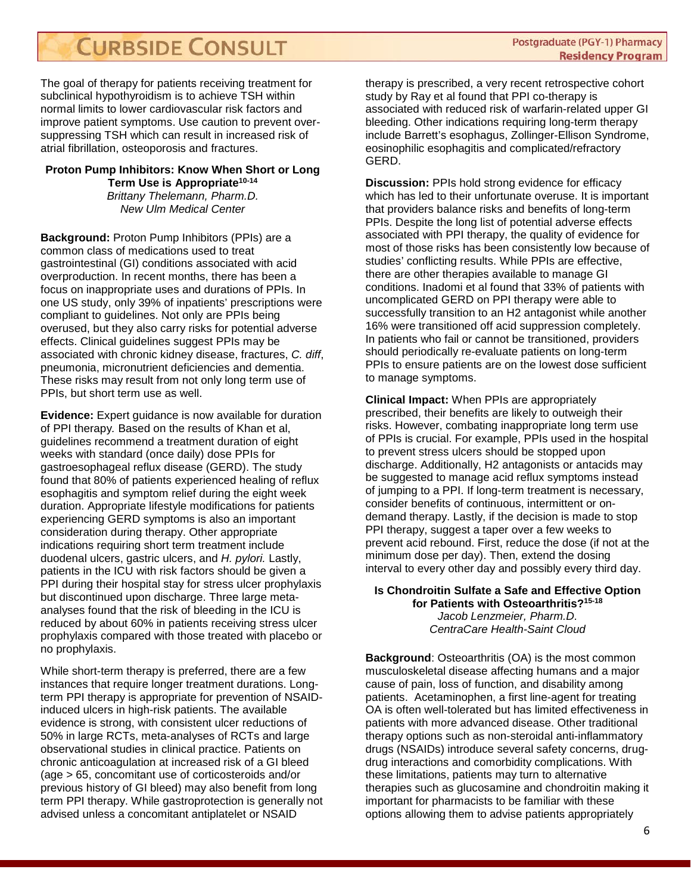The goal of therapy for patients receiving treatment for subclinical hypothyroidism is to achieve TSH within normal limits to lower cardiovascular risk factors and improve patient symptoms. Use caution to prevent oversuppressing TSH which can result in increased risk of atrial fibrillation, osteoporosis and fractures.

# **Proton Pump Inhibitors: Know When Short or Long**

Term Use is Appropriate<sup>10-14</sup> *Brittany Thelemann, Pharm.D. New Ulm Medical Center*

**Background:** Proton Pump Inhibitors (PPIs) are a common class of medications used to treat gastrointestinal (GI) conditions associated with acid overproduction. In recent months, there has been a focus on inappropriate uses and durations of PPIs. In one US study, only 39% of inpatients' prescriptions were compliant to guidelines. Not only are PPIs being overused, but they also carry risks for potential adverse effects. Clinical guidelines suggest PPIs may be associated with chronic kidney disease, fractures, *C. diff*, pneumonia, micronutrient deficiencies and dementia. These risks may result from not only long term use of PPIs, but short term use as well.

**Evidence:** Expert guidance is now available for duration of PPI therapy*.* Based on the results of Khan et al, guidelines recommend a treatment duration of eight weeks with standard (once daily) dose PPIs for gastroesophageal reflux disease (GERD). The study found that 80% of patients experienced healing of reflux esophagitis and symptom relief during the eight week duration. Appropriate lifestyle modifications for patients experiencing GERD symptoms is also an important consideration during therapy. Other appropriate indications requiring short term treatment include duodenal ulcers, gastric ulcers, and *H. pylori.* Lastly, patients in the ICU with risk factors should be given a PPI during their hospital stay for stress ulcer prophylaxis but discontinued upon discharge. Three large metaanalyses found that the risk of bleeding in the ICU is reduced by about 60% in patients receiving stress ulcer prophylaxis compared with those treated with placebo or no prophylaxis.

While short-term therapy is preferred, there are a few instances that require longer treatment durations. Longterm PPI therapy is appropriate for prevention of NSAIDinduced ulcers in high-risk patients. The available evidence is strong, with consistent ulcer reductions of 50% in large RCTs, meta-analyses of RCTs and large observational studies in clinical practice. Patients on chronic anticoagulation at increased risk of a GI bleed (age > 65, concomitant use of corticosteroids and/or previous history of GI bleed) may also benefit from long term PPI therapy. While gastroprotection is generally not advised unless a concomitant antiplatelet or NSAID

therapy is prescribed, a very recent retrospective cohort study by Ray et al found that PPI co-therapy is associated with reduced risk of warfarin-related upper GI bleeding. Other indications requiring long-term therapy include Barrett's esophagus, Zollinger-Ellison Syndrome, eosinophilic esophagitis and complicated/refractory GERD.

**Discussion:** PPIs hold strong evidence for efficacy which has led to their unfortunate overuse. It is important that providers balance risks and benefits of long-term PPIs. Despite the long list of potential adverse effects associated with PPI therapy, the quality of evidence for most of those risks has been consistently low because of studies' conflicting results. While PPIs are effective, there are other therapies available to manage GI conditions. Inadomi et al found that 33% of patients with uncomplicated GERD on PPI therapy were able to successfully transition to an H2 antagonist while another 16% were transitioned off acid suppression completely. In patients who fail or cannot be transitioned, providers should periodically re-evaluate patients on long-term PPIs to ensure patients are on the lowest dose sufficient to manage symptoms.

**Clinical Impact:** When PPIs are appropriately prescribed, their benefits are likely to outweigh their risks. However, combating inappropriate long term use of PPIs is crucial. For example, PPIs used in the hospital to prevent stress ulcers should be stopped upon discharge. Additionally, H2 antagonists or antacids may be suggested to manage acid reflux symptoms instead of jumping to a PPI. If long-term treatment is necessary, consider benefits of continuous, intermittent or ondemand therapy. Lastly, if the decision is made to stop PPI therapy, suggest a taper over a few weeks to prevent acid rebound. First, reduce the dose (if not at the minimum dose per day). Then, extend the dosing interval to every other day and possibly every third day.

# **Is Chondroitin Sulfate a Safe and Effective Option for Patients with Osteoarthritis?15-18** *Jacob Lenzmeier, Pharm.D. CentraCare Health-Saint Cloud*

**Background:** Osteoarthritis (OA) is the most common musculoskeletal disease affecting humans and a major cause of pain, loss of function, and disability among patients. Acetaminophen, a first line-agent for treating OA is often well-tolerated but has limited effectiveness in patients with more advanced disease. Other traditional therapy options such as non-steroidal anti-inflammatory drugs (NSAIDs) introduce several safety concerns, drugdrug interactions and comorbidity complications. With these limitations, patients may turn to alternative therapies such as glucosamine and chondroitin making it important for pharmacists to be familiar with these options allowing them to advise patients appropriately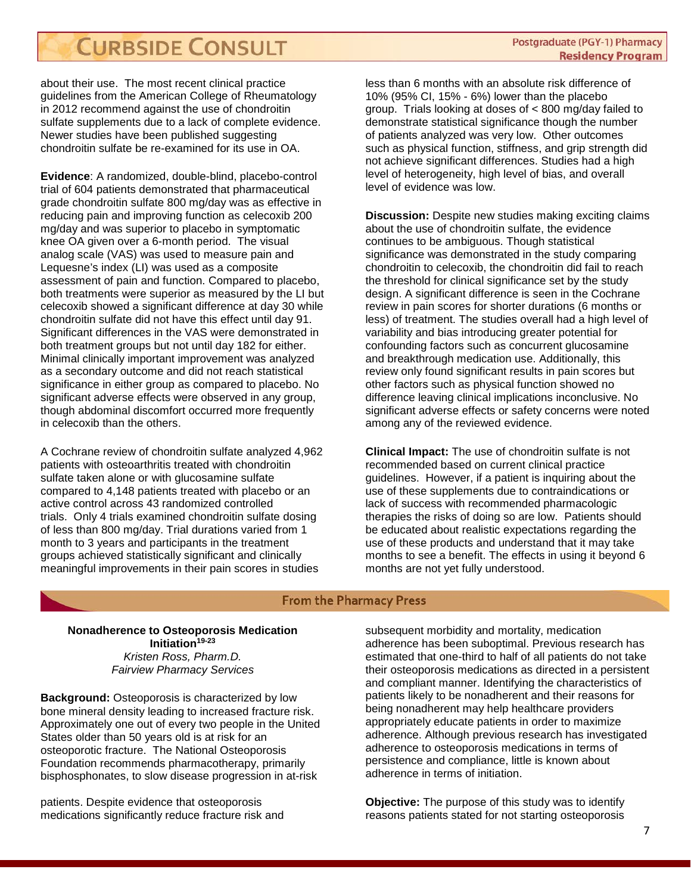about their use. The most recent clinical practice guidelines from the American College of Rheumatology in 2012 recommend against the use of chondroitin sulfate supplements due to a lack of complete evidence. Newer studies have been published suggesting chondroitin sulfate be re-examined for its use in OA.

**Evidence**: A randomized, double-blind, placebo-control trial of 604 patients demonstrated that pharmaceutical grade chondroitin sulfate 800 mg/day was as effective in reducing pain and improving function as celecoxib 200 mg/day and was superior to placebo in symptomatic knee OA given over a 6-month period. The visual analog scale (VAS) was used to measure pain and Lequesne's index (LI) was used as a composite assessment of pain and function. Compared to placebo, both treatments were superior as measured by the LI but celecoxib showed a significant difference at day 30 while chondroitin sulfate did not have this effect until day 91. Significant differences in the VAS were demonstrated in both treatment groups but not until day 182 for either. Minimal clinically important improvement was analyzed as a secondary outcome and did not reach statistical significance in either group as compared to placebo. No significant adverse effects were observed in any group, though abdominal discomfort occurred more frequently in celecoxib than the others.

A Cochrane review of chondroitin sulfate analyzed 4,962 patients with osteoarthritis treated with chondroitin sulfate taken alone or with glucosamine sulfate compared to 4,148 patients treated with placebo or an active control across 43 randomized controlled trials. Only 4 trials examined chondroitin sulfate dosing of less than 800 mg/day. Trial durations varied from 1 month to 3 years and participants in the treatment groups achieved statistically significant and clinically meaningful improvements in their pain scores in studies

less than 6 months with an absolute risk difference of 10% (95% CI, 15% - 6%) lower than the placebo group. Trials looking at doses of < 800 mg/day failed to demonstrate statistical significance though the number of patients analyzed was very low. Other outcomes such as physical function, stiffness, and grip strength did not achieve significant differences. Studies had a high level of heterogeneity, high level of bias, and overall level of evidence was low.

**Discussion:** Despite new studies making exciting claims about the use of chondroitin sulfate, the evidence continues to be ambiguous. Though statistical significance was demonstrated in the study comparing chondroitin to celecoxib, the chondroitin did fail to reach the threshold for clinical significance set by the study design. A significant difference is seen in the Cochrane review in pain scores for shorter durations (6 months or less) of treatment. The studies overall had a high level of variability and bias introducing greater potential for confounding factors such as concurrent glucosamine and breakthrough medication use. Additionally, this review only found significant results in pain scores but other factors such as physical function showed no difference leaving clinical implications inconclusive. No significant adverse effects or safety concerns were noted among any of the reviewed evidence.

**Clinical Impact:** The use of chondroitin sulfate is not recommended based on current clinical practice guidelines. However, if a patient is inquiring about the use of these supplements due to contraindications or lack of success with recommended pharmacologic therapies the risks of doing so are low. Patients should be educated about realistic expectations regarding the use of these products and understand that it may take months to see a benefit. The effects in using it beyond 6 months are not yet fully understood.

### **From the Pharmacy Press**

**Nonadherence to Osteoporosis Medication Initiation19-23** *Kristen Ross, Pharm.D. Fairview Pharmacy Services*

**Background:** Osteoporosis is characterized by low bone mineral density leading to increased fracture risk. Approximately one out of every two people in the United States older than 50 years old is at risk for an osteoporotic fracture. The National Osteoporosis Foundation recommends pharmacotherapy, primarily bisphosphonates, to slow disease progression in at-risk

patients. Despite evidence that osteoporosis medications significantly reduce fracture risk and

subsequent morbidity and mortality, medication adherence has been suboptimal. Previous research has estimated that one-third to half of all patients do not take their osteoporosis medications as directed in a persistent and compliant manner. Identifying the characteristics of patients likely to be nonadherent and their reasons for being nonadherent may help healthcare providers appropriately educate patients in order to maximize adherence. Although previous research has investigated adherence to osteoporosis medications in terms of persistence and compliance, little is known about adherence in terms of initiation.

**Objective:** The purpose of this study was to identify reasons patients stated for not starting osteoporosis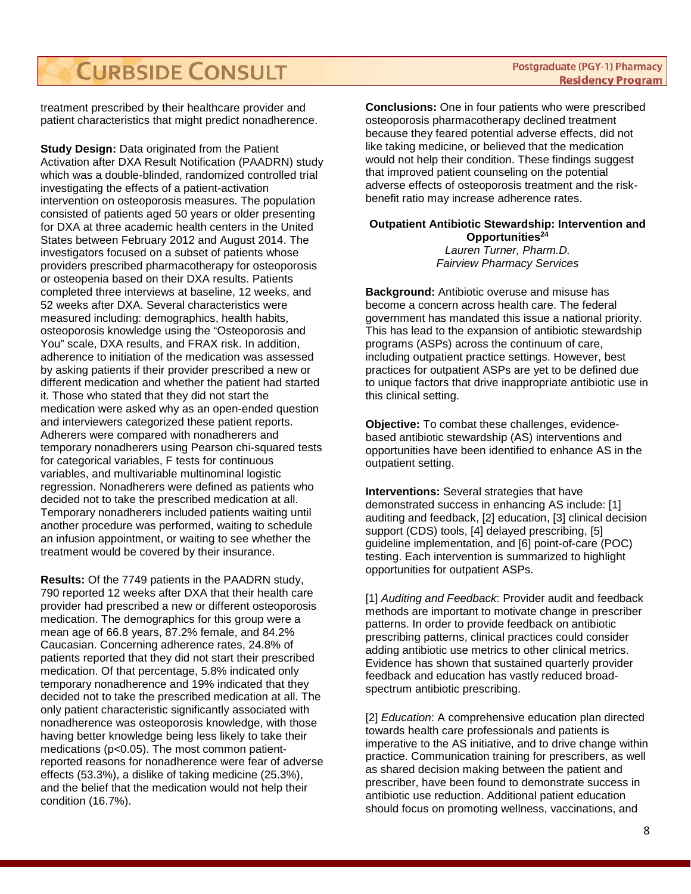treatment prescribed by their healthcare provider and patient characteristics that might predict nonadherence.

**Study Design:** Data originated from the Patient Activation after DXA Result Notification (PAADRN) study which was a double-blinded, randomized controlled trial investigating the effects of a patient-activation intervention on osteoporosis measures. The population consisted of patients aged 50 years or older presenting for DXA at three academic health centers in the United States between February 2012 and August 2014. The investigators focused on a subset of patients whose providers prescribed pharmacotherapy for osteoporosis or osteopenia based on their DXA results. Patients completed three interviews at baseline, 12 weeks, and 52 weeks after DXA. Several characteristics were measured including: demographics, health habits, osteoporosis knowledge using the "Osteoporosis and You" scale, DXA results, and FRAX risk. In addition, adherence to initiation of the medication was assessed by asking patients if their provider prescribed a new or different medication and whether the patient had started it. Those who stated that they did not start the medication were asked why as an open-ended question and interviewers categorized these patient reports. Adherers were compared with nonadherers and temporary nonadherers using Pearson chi-squared tests for categorical variables, F tests for continuous variables, and multivariable multinominal logistic regression. Nonadherers were defined as patients who decided not to take the prescribed medication at all. Temporary nonadherers included patients waiting until another procedure was performed, waiting to schedule an infusion appointment, or waiting to see whether the treatment would be covered by their insurance.

**Results:** Of the 7749 patients in the PAADRN study, 790 reported 12 weeks after DXA that their health care provider had prescribed a new or different osteoporosis medication. The demographics for this group were a mean age of 66.8 years, 87.2% female, and 84.2% Caucasian. Concerning adherence rates, 24.8% of patients reported that they did not start their prescribed medication. Of that percentage, 5.8% indicated only temporary nonadherence and 19% indicated that they decided not to take the prescribed medication at all. The only patient characteristic significantly associated with nonadherence was osteoporosis knowledge, with those having better knowledge being less likely to take their medications (p<0.05). The most common patientreported reasons for nonadherence were fear of adverse effects (53.3%), a dislike of taking medicine (25.3%), and the belief that the medication would not help their condition (16.7%).

**Conclusions:** One in four patients who were prescribed osteoporosis pharmacotherapy declined treatment because they feared potential adverse effects, did not like taking medicine, or believed that the medication would not help their condition. These findings suggest that improved patient counseling on the potential adverse effects of osteoporosis treatment and the riskbenefit ratio may increase adherence rates.

### **Outpatient Antibiotic Stewardship: Intervention and Opportunities24** *Lauren Turner, Pharm.D.*

*Fairview Pharmacy Services*

**Background:** Antibiotic overuse and misuse has become a concern across health care. The federal government has mandated this issue a national priority. This has lead to the expansion of antibiotic stewardship programs (ASPs) across the continuum of care, including outpatient practice settings. However, best practices for outpatient ASPs are yet to be defined due to unique factors that drive inappropriate antibiotic use in this clinical setting.

**Objective:** To combat these challenges, evidencebased antibiotic stewardship (AS) interventions and opportunities have been identified to enhance AS in the outpatient setting.

**Interventions:** Several strategies that have demonstrated success in enhancing AS include: [1] auditing and feedback, [2] education, [3] clinical decision support (CDS) tools, [4] delayed prescribing, [5] guideline implementation, and [6] point-of-care (POC) testing. Each intervention is summarized to highlight opportunities for outpatient ASPs.

[1] *Auditing and Feedback*: Provider audit and feedback methods are important to motivate change in prescriber patterns. In order to provide feedback on antibiotic prescribing patterns, clinical practices could consider adding antibiotic use metrics to other clinical metrics. Evidence has shown that sustained quarterly provider feedback and education has vastly reduced broadspectrum antibiotic prescribing.

[2] *Education*: A comprehensive education plan directed towards health care professionals and patients is imperative to the AS initiative, and to drive change within practice. Communication training for prescribers, as well as shared decision making between the patient and prescriber, have been found to demonstrate success in antibiotic use reduction. Additional patient education should focus on promoting wellness, vaccinations, and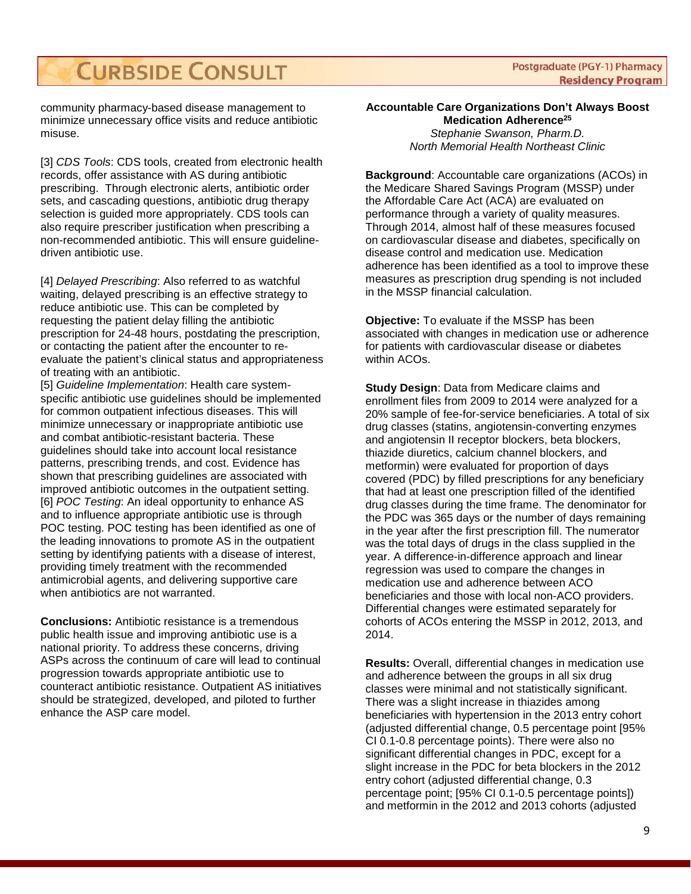**Postgraduate (PGY-1) Pharmacy Residency Program** 

community pharmacy-based disease management to minimize unnecessary office visits and reduce antibiotic misuse.

[3] *CDS Tools*: CDS tools, created from electronic health records, offer assistance with AS during antibiotic prescribing. Through electronic alerts, antibiotic order sets, and cascading questions, antibiotic drug therapy selection is guided more appropriately. CDS tools can also require prescriber justification when prescribing a non-recommended antibiotic. This will ensure guidelinedriven antibiotic use.

[4] *Delayed Prescribing*: Also referred to as watchful waiting, delayed prescribing is an effective strategy to reduce antibiotic use. This can be completed by requesting the patient delay filling the antibiotic prescription for 24-48 hours, postdating the prescription, or contacting the patient after the encounter to reevaluate the patient's clinical status and appropriateness of treating with an antibiotic.

[5] *Guideline Implementation*: Health care systemspecific antibiotic use guidelines should be implemented for common outpatient infectious diseases. This will minimize unnecessary or inappropriate antibiotic use and combat antibiotic-resistant bacteria. These guidelines should take into account local resistance patterns, prescribing trends, and cost. Evidence has shown that prescribing guidelines are associated with improved antibiotic outcomes in the outpatient setting. [6] *POC Testing*: An ideal opportunity to enhance AS and to influence appropriate antibiotic use is through POC testing. POC testing has been identified as one of the leading innovations to promote AS in the outpatient setting by identifying patients with a disease of interest, providing timely treatment with the recommended antimicrobial agents, and delivering supportive care when antibiotics are not warranted.

**Conclusions:** Antibiotic resistance is a tremendous public health issue and improving antibiotic use is a national priority. To address these concerns, driving ASPs across the continuum of care will lead to continual progression towards appropriate antibiotic use to counteract antibiotic resistance. Outpatient AS initiatives should be strategized, developed, and piloted to further enhance the ASP care model.

### **Accountable Care Organizations Don't Always Boost Medication Adherence25** *Stephanie Swanson, Pharm.D.*

*North Memorial Health Northeast Clinic*

**Background**: Accountable care organizations (ACOs) in the Medicare Shared Savings Program (MSSP) under the Affordable Care Act (ACA) are evaluated on performance through a variety of quality measures. Through 2014, almost half of these measures focused on cardiovascular disease and diabetes, specifically on disease control and medication use. Medication adherence has been identified as a tool to improve these measures as prescription drug spending is not included in the MSSP financial calculation.

**Objective:** To evaluate if the MSSP has been associated with changes in medication use or adherence for patients with cardiovascular disease or diabetes within ACOs.

**Study Design**: Data from Medicare claims and enrollment files from 2009 to 2014 were analyzed for a 20% sample of fee-for-service beneficiaries. A total of six drug classes (statins, angiotensin-converting enzymes and angiotensin II receptor blockers, beta blockers, thiazide diuretics, calcium channel blockers, and metformin) were evaluated for proportion of days covered (PDC) by filled prescriptions for any beneficiary that had at least one prescription filled of the identified drug classes during the time frame. The denominator for the PDC was 365 days or the number of days remaining in the year after the first prescription fill. The numerator was the total days of drugs in the class supplied in the year. A difference-in-difference approach and linear regression was used to compare the changes in medication use and adherence between ACO beneficiaries and those with local non-ACO providers. Differential changes were estimated separately for cohorts of ACOs entering the MSSP in 2012, 2013, and 2014.

**Results:** Overall, differential changes in medication use and adherence between the groups in all six drug classes were minimal and not statistically significant. There was a slight increase in thiazides among beneficiaries with hypertension in the 2013 entry cohort (adjusted differential change, 0.5 percentage point [95% CI 0.1-0.8 percentage points). There were also no significant differential changes in PDC, except for a slight increase in the PDC for beta blockers in the 2012 entry cohort (adjusted differential change, 0.3 percentage point; [95% CI 0.1-0.5 percentage points]) and metformin in the 2012 and 2013 cohorts (adjusted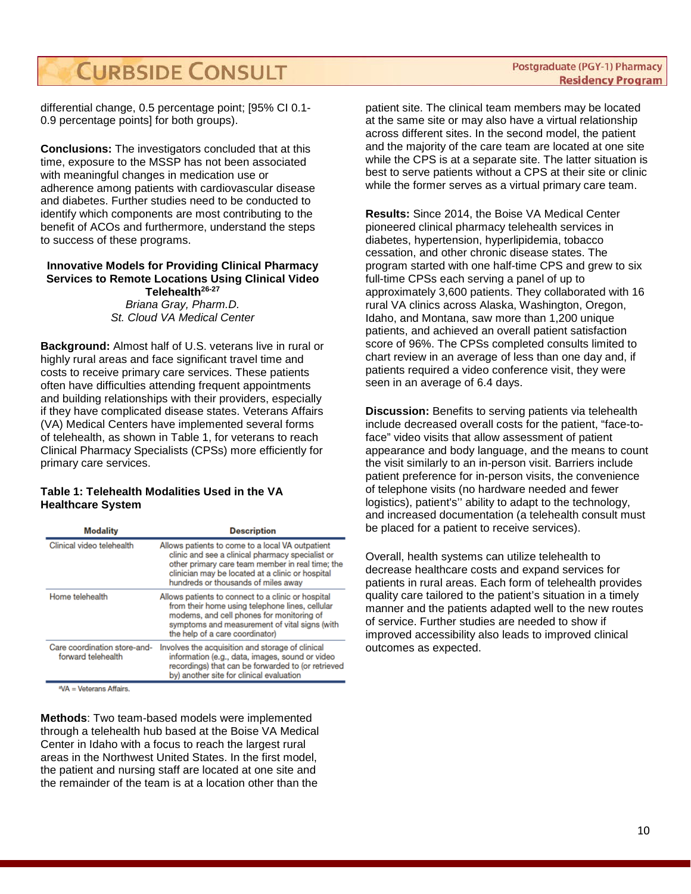differential change, 0.5 percentage point; [95% CI 0.1- 0.9 percentage points] for both groups).

**Conclusions:** The investigators concluded that at this time, exposure to the MSSP has not been associated with meaningful changes in medication use or adherence among patients with cardiovascular disease and diabetes. Further studies need to be conducted to identify which components are most contributing to the benefit of ACOs and furthermore, understand the steps to success of these programs.

### **Innovative Models for Providing Clinical Pharmacy Services to Remote Locations Using Clinical Video Telehealth26-27**

*Briana Gray, Pharm.D. St. Cloud VA Medical Center*

**Background:** Almost half of U.S. veterans live in rural or highly rural areas and face significant travel time and costs to receive primary care services. These patients often have difficulties attending frequent appointments and building relationships with their providers, especially if they have complicated disease states. Veterans Affairs (VA) Medical Centers have implemented several forms of telehealth, as shown in Table 1, for veterans to reach Clinical Pharmacy Specialists (CPSs) more efficiently for primary care services.

### **Table 1: Telehealth Modalities Used in the VA Healthcare System**

| <b>Modality</b>                                    | <b>Description</b>                                                                                                                                                                                                                                  |
|----------------------------------------------------|-----------------------------------------------------------------------------------------------------------------------------------------------------------------------------------------------------------------------------------------------------|
| Clinical video telehealth                          | Allows patients to come to a local VA outpatient<br>clinic and see a clinical pharmacy specialist or<br>other primary care team member in real time; the<br>clinician may be located at a clinic or hospital<br>hundreds or thousands of miles away |
| Home telehealth                                    | Allows patients to connect to a clinic or hospital<br>from their home using telephone lines, cellular<br>modems, and cell phones for monitoring of<br>symptoms and measurement of vital signs (with<br>the help of a care coordinator)              |
| Care coordination store-and-<br>forward telehealth | Involves the acquisition and storage of clinical<br>information (e.g., data, images, sound or video<br>recordings) that can be forwarded to (or retrieved<br>by) another site for clinical evaluation                                               |
|                                                    |                                                                                                                                                                                                                                                     |

VA = Veterans Affairs.

**Methods**: Two team-based models were implemented through a telehealth hub based at the Boise VA Medical Center in Idaho with a focus to reach the largest rural areas in the Northwest United States. In the first model, the patient and nursing staff are located at one site and the remainder of the team is at a location other than the

patient site. The clinical team members may be located at the same site or may also have a virtual relationship across different sites. In the second model, the patient and the majority of the care team are located at one site while the CPS is at a separate site. The latter situation is best to serve patients without a CPS at their site or clinic while the former serves as a virtual primary care team.

**Results:** Since 2014, the Boise VA Medical Center pioneered clinical pharmacy telehealth services in diabetes, hypertension, hyperlipidemia, tobacco cessation, and other chronic disease states. The program started with one half-time CPS and grew to six full-time CPSs each serving a panel of up to approximately 3,600 patients. They collaborated with 16 rural VA clinics across Alaska, Washington, Oregon, Idaho, and Montana, saw more than 1,200 unique patients, and achieved an overall patient satisfaction score of 96%. The CPSs completed consults limited to chart review in an average of less than one day and, if patients required a video conference visit, they were seen in an average of 6.4 days.

**Discussion:** Benefits to serving patients via telehealth include decreased overall costs for the patient, "face-toface" video visits that allow assessment of patient appearance and body language, and the means to count the visit similarly to an in-person visit. Barriers include patient preference for in-person visits, the convenience of telephone visits (no hardware needed and fewer logistics), patient's'' ability to adapt to the technology, and increased documentation (a telehealth consult must be placed for a patient to receive services).

Overall, health systems can utilize telehealth to decrease healthcare costs and expand services for patients in rural areas. Each form of telehealth provides quality care tailored to the patient's situation in a timely manner and the patients adapted well to the new routes of service. Further studies are needed to show if improved accessibility also leads to improved clinical outcomes as expected.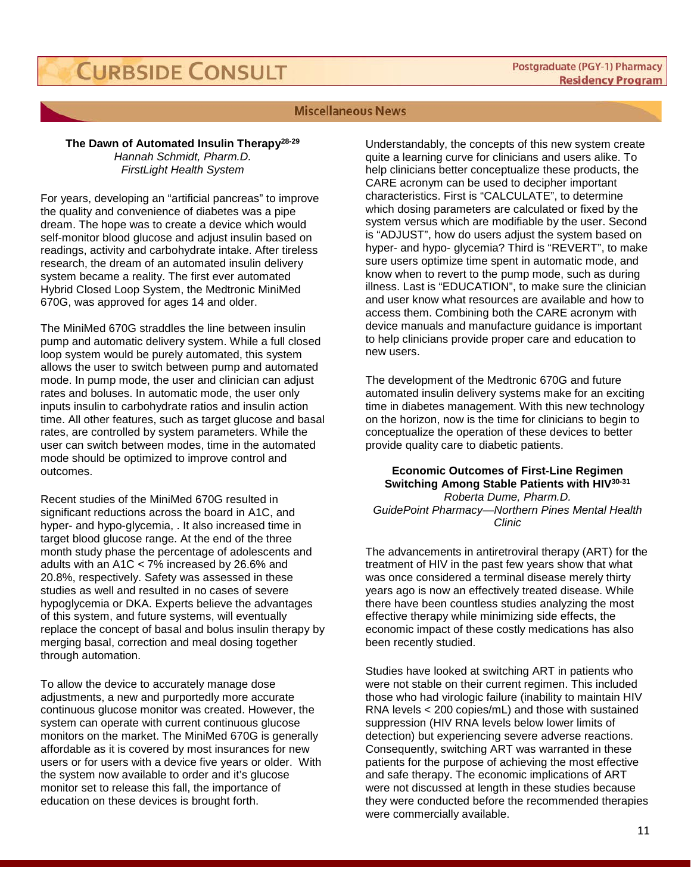### **Miscellaneous News**

### **The Dawn of Automated Insulin Therapy28-29**

*Hannah Schmidt, Pharm.D. FirstLight Health System*

For years, developing an "artificial pancreas" to improve the quality and convenience of diabetes was a pipe dream. The hope was to create a device which would self-monitor blood glucose and adjust insulin based on readings, activity and carbohydrate intake. After tireless research, the dream of an automated insulin delivery system became a reality. The first ever automated Hybrid Closed Loop System, the Medtronic MiniMed 670G, was approved for ages 14 and older.

The MiniMed 670G straddles the line between insulin pump and automatic delivery system. While a full closed loop system would be purely automated, this system allows the user to switch between pump and automated mode. In pump mode, the user and clinician can adjust rates and boluses. In automatic mode, the user only inputs insulin to carbohydrate ratios and insulin action time. All other features, such as target glucose and basal rates, are controlled by system parameters. While the user can switch between modes, time in the automated mode should be optimized to improve control and outcomes.

Recent studies of the MiniMed 670G resulted in significant reductions across the board in A1C, and hyper- and hypo-glycemia, . It also increased time in target blood glucose range. At the end of the three month study phase the percentage of adolescents and adults with an A1C < 7% increased by 26.6% and 20.8%, respectively. Safety was assessed in these studies as well and resulted in no cases of severe hypoglycemia or DKA. Experts believe the advantages of this system, and future systems, will eventually replace the concept of basal and bolus insulin therapy by merging basal, correction and meal dosing together through automation.

To allow the device to accurately manage dose adjustments, a new and purportedly more accurate continuous glucose monitor was created. However, the system can operate with current continuous glucose monitors on the market. The MiniMed 670G is generally affordable as it is covered by most insurances for new users or for users with a device five years or older. With the system now available to order and it's glucose monitor set to release this fall, the importance of education on these devices is brought forth.

Understandably, the concepts of this new system create quite a learning curve for clinicians and users alike. To help clinicians better conceptualize these products, the CARE acronym can be used to decipher important characteristics. First is "CALCULATE", to determine which dosing parameters are calculated or fixed by the system versus which are modifiable by the user. Second is "ADJUST", how do users adjust the system based on hyper- and hypo- glycemia? Third is "REVERT", to make sure users optimize time spent in automatic mode, and know when to revert to the pump mode, such as during illness. Last is "EDUCATION", to make sure the clinician and user know what resources are available and how to access them. Combining both the CARE acronym with device manuals and manufacture guidance is important to help clinicians provide proper care and education to new users.

The development of the Medtronic 670G and future automated insulin delivery systems make for an exciting time in diabetes management. With this new technology on the horizon, now is the time for clinicians to begin to conceptualize the operation of these devices to better provide quality care to diabetic patients.

### **Economic Outcomes of First-Line Regimen Switching Among Stable Patients with HIV30-31** *Roberta Dume, Pharm.D.*

*GuidePoint Pharmacy—Northern Pines Mental Health Clinic*

The advancements in antiretroviral therapy (ART) for the treatment of HIV in the past few years show that what was once considered a terminal disease merely thirty years ago is now an effectively treated disease. While there have been countless studies analyzing the most effective therapy while minimizing side effects, the economic impact of these costly medications has also been recently studied.

Studies have looked at switching ART in patients who were not stable on their current regimen. This included those who had virologic failure (inability to maintain HIV RNA levels < 200 copies/mL) and those with sustained suppression (HIV RNA levels below lower limits of detection) but experiencing severe adverse reactions. Consequently, switching ART was warranted in these patients for the purpose of achieving the most effective and safe therapy. The economic implications of ART were not discussed at length in these studies because they were conducted before the recommended therapies were commercially available.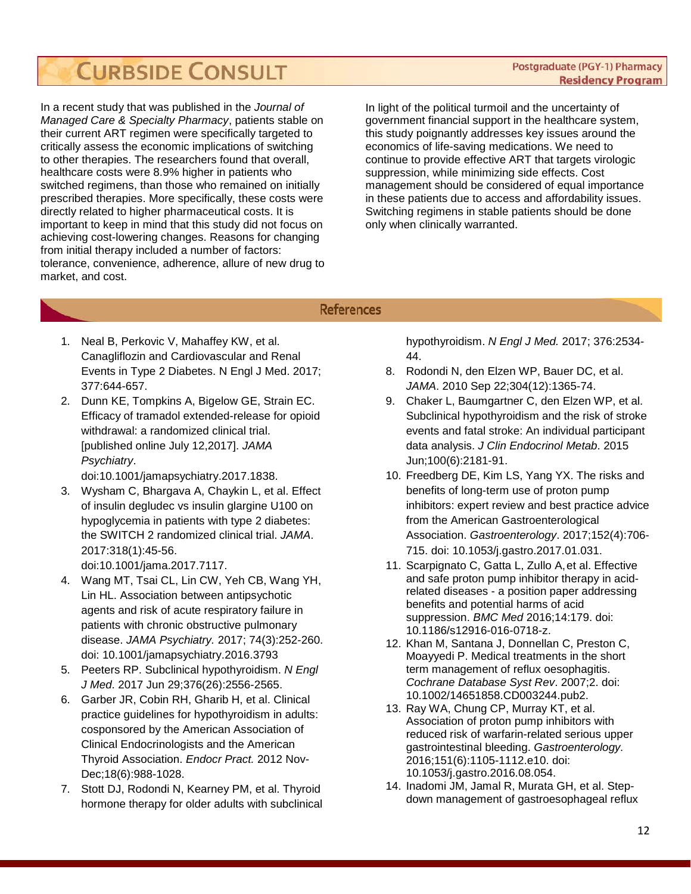In a recent study that was published in the *Journal of Managed Care & Specialty Pharmacy*, patients stable on their current ART regimen were specifically targeted to critically assess the economic implications of switching to other therapies. The researchers found that overall, healthcare costs were 8.9% higher in patients who switched regimens, than those who remained on initially prescribed therapies. More specifically, these costs were directly related to higher pharmaceutical costs. It is important to keep in mind that this study did not focus on achieving cost-lowering changes. Reasons for changing from initial therapy included a number of factors: tolerance, convenience, adherence, allure of new drug to market, and cost.

In light of the political turmoil and the uncertainty of government financial support in the healthcare system, this study poignantly addresses key issues around the economics of life-saving medications. We need to continue to provide effective ART that targets virologic suppression, while minimizing side effects. Cost management should be considered of equal importance in these patients due to access and affordability issues. Switching regimens in stable patients should be done only when clinically warranted.

# **References**

- 1. Neal B, Perkovic V, Mahaffey KW, et al. Canagliflozin and Cardiovascular and Renal Events in Type 2 Diabetes. N Engl J Med. 2017; 377:644-657.
- 2. Dunn KE, Tompkins A, Bigelow GE, Strain EC. Efficacy of tramadol extended-release for opioid withdrawal: a randomized clinical trial. [published online July 12,2017]. *JAMA Psychiatry*.

doi:10.1001/jamapsychiatry.2017.1838.

- 3. Wysham C, Bhargava A, Chaykin L, et al. Effect of insulin degludec vs insulin glargine U100 on hypoglycemia in patients with type 2 diabetes: the SWITCH 2 randomized clinical trial. *JAMA*. 2017:318(1):45-56. doi:10.1001/jama.2017.7117.
- 4. Wang MT, Tsai CL, Lin CW, Yeh CB, Wang YH, Lin HL. Association between antipsychotic agents and risk of acute respiratory failure in patients with chronic obstructive pulmonary disease. *JAMA Psychiatry.* 2017; 74(3):252-260. doi: 10.1001/jamapsychiatry.2016.3793
- 5. Peeters RP. Subclinical hypothyroidism. *N Engl J Med*. 2017 Jun 29;376(26):2556-2565.
- 6. Garber JR, Cobin RH, Gharib H, et al. Clinical practice guidelines for hypothyroidism in adults: cosponsored by the American Association of Clinical Endocrinologists and the American Thyroid Association. *Endocr Pract.* 2012 Nov-Dec;18(6):988-1028.
- 7. Stott DJ, Rodondi N, Kearney PM, et al. Thyroid hormone therapy for older adults with subclinical

hypothyroidism. *N Engl J Med.* 2017; 376:2534- 44.

- 8. Rodondi N, den Elzen WP, Bauer DC, et al. *JAMA*. 2010 Sep 22;304(12):1365-74.
- 9. Chaker L, Baumgartner C, den Elzen WP, et al. Subclinical hypothyroidism and the risk of stroke events and fatal stroke: An individual participant data analysis. *J Clin Endocrinol Metab*. 2015 Jun;100(6):2181-91.
- 10. [Freedberg DE,](https://www.ncbi.nlm.nih.gov/pubmed/?term=Freedberg%20DE%5BAuthor%5D&cauthor=true&cauthor_uid=28257716) [Kim LS,](https://www.ncbi.nlm.nih.gov/pubmed/?term=Kim%20LS%5BAuthor%5D&cauthor=true&cauthor_uid=28257716) [Yang YX.](https://www.ncbi.nlm.nih.gov/pubmed/?term=Yang%20YX%5BAuthor%5D&cauthor=true&cauthor_uid=28257716) The risks and benefits of long-term use of proton pump inhibitors: expert review and best practice advice from the American Gastroenterological Association. *[Gastroenterology](https://www.ncbi.nlm.nih.gov/pubmed/28257716)*. 2017;152(4):706- 715. doi: 10.1053/j.gastro.2017.01.031.
- 11. [Scarpignato C,](https://www.ncbi.nlm.nih.gov/pubmed/?term=Scarpignato%20C%5BAuthor%5D&cauthor=true&cauthor_uid=27825371) [Gatta L,](https://www.ncbi.nlm.nih.gov/pubmed/?term=Gatta%20L%5BAuthor%5D&cauthor=true&cauthor_uid=27825371) [Zullo A,](https://www.ncbi.nlm.nih.gov/pubmed/?term=Zullo%20A%5BAuthor%5D&cauthor=true&cauthor_uid=27825371)et al. Effective and safe proton pump inhibitor therapy in acidrelated diseases - a position paper addressing benefits and potential harms of acid suppression. *BMC Med* 2016;14:179. doi: 10.1186/s12916-016-0718-z.
- 12. Khan M, Santana J, Donnellan C, Preston C, Moayyedi P. Medical treatments in the short term management of reflux oesophagitis. *Cochrane Database Syst Rev*. 2007;2. doi: 10.1002/14651858.CD003244.pub2.
- 13. [Ray WA,](https://www.ncbi.nlm.nih.gov/pubmed/?term=Ray%20WA%5BAuthor%5D&cauthor=true&cauthor_uid=27639805) [Chung CP,](https://www.ncbi.nlm.nih.gov/pubmed/?term=Chung%20CP%5BAuthor%5D&cauthor=true&cauthor_uid=27639805) [Murray KT,](https://www.ncbi.nlm.nih.gov/pubmed/?term=Murray%20KT%5BAuthor%5D&cauthor=true&cauthor_uid=27639805) et al. Association of proton pump inhibitors with reduced risk of warfarin-related serious upper gastrointestinal bleeding. *[Gastroenterology.](https://www.ncbi.nlm.nih.gov/pubmed/27639805)* 2016;151(6):1105-1112.e10. doi: 10.1053/j.gastro.2016.08.054.
- 14. Inadomi JM, Jamal R, Murata GH, et al. Stepdown management of gastroesophageal reflux